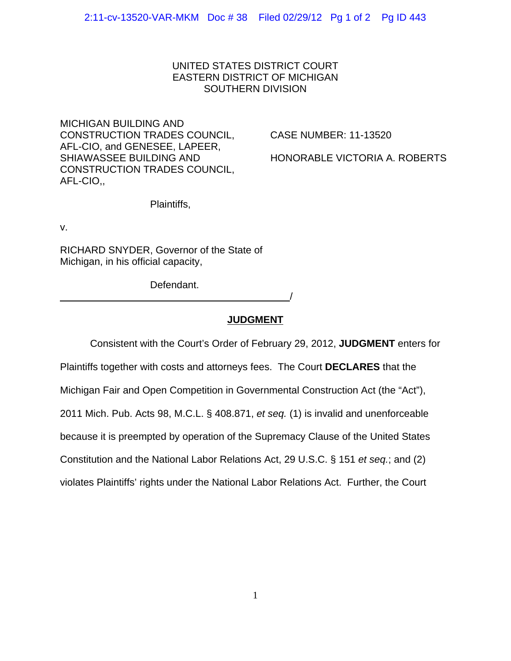## UNITED STATES DISTRICT COURT EASTERN DISTRICT OF MICHIGAN SOUTHERN DIVISION

MICHIGAN BUILDING AND CONSTRUCTION TRADES COUNCIL, CASE NUMBER: 11-13520 AFL-CIO, and GENESEE, LAPEER, SHIAWASSEE BUILDING AND HONORABLE VICTORIA A. ROBERTS CONSTRUCTION TRADES COUNCIL, AFL-CIO,,

Plaintiffs,

v.

RICHARD SNYDER, Governor of the State of Michigan, in his official capacity,

Defendant. /

## **JUDGMENT**

Consistent with the Court's Order of February 29, 2012, **JUDGMENT** enters for

Plaintiffs together with costs and attorneys fees. The Court **DECLARES** that the Michigan Fair and Open Competition in Governmental Construction Act (the "Act"), 2011 Mich. Pub. Acts 98, M.C.L. § 408.871, *et seq.* (1) is invalid and unenforceable because it is preempted by operation of the Supremacy Clause of the United States Constitution and the National Labor Relations Act, 29 U.S.C. § 151 *et seq.*; and (2) violates Plaintiffs' rights under the National Labor Relations Act. Further, the Court